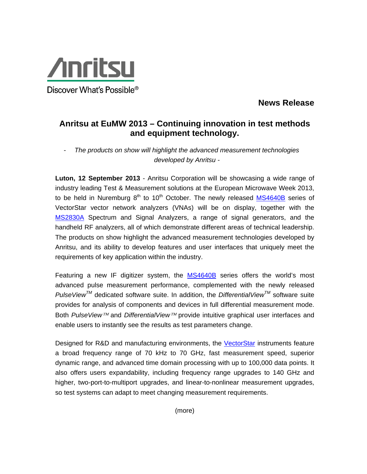

Discover What's Possible<sup>®</sup>

## **News Release**

## **Anritsu at EuMW 2013 – Continuing innovation in test methods and equipment technology.**

- *The products on show will highlight the advanced measurement technologies developed by Anritsu -*

**Luton, 12 September 2013** - Anritsu Corporation will be showcasing a wide range of industry leading Test & Measurement solutions at the European Microwave Week 2013, to be held in Nuremburg  $8<sup>th</sup>$  to 10<sup>th</sup> October. The newly released MS4640B series of VectorStar vector network analyzers (VNAs) will be on display, together with the MS2830A Spectrum and Signal Analyzers, a range of signal generators, and the handheld RF analyzers, all of which demonstrate different areas of technical leadership. The products on show highlight the advanced measurement technologies developed by Anritsu, and its ability to develop features and user interfaces that uniquely meet the requirements of key application within the industry.

Featuring a new IF digitizer system, the MS4640B series offers the world's most advanced pulse measurement performance, complemented with the newly released *PulseViewTM* dedicated software suite. In addition, the *DifferentialViewTM* software suite provides for analysis of components and devices in full differential measurement mode. Both *PulseView™* and *DifferentialView™* provide intuitive graphical user interfaces and enable users to instantly see the results as test parameters change.

Designed for R&D and manufacturing environments, the VectorStar instruments feature a broad frequency range of 70 kHz to 70 GHz, fast measurement speed, superior dynamic range, and advanced time domain processing with up to 100,000 data points. It also offers users expandability, including frequency range upgrades to 140 GHz and higher, two-port-to-multiport upgrades, and linear-to-nonlinear measurement upgrades, so test systems can adapt to meet changing measurement requirements.

(more)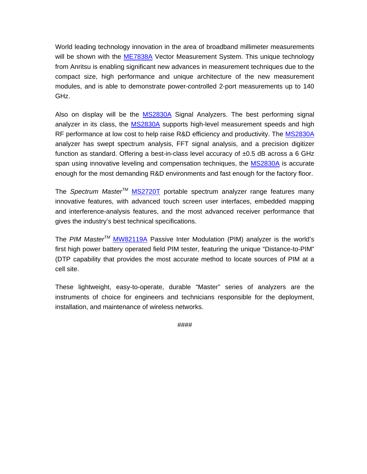World leading technology innovation in the area of broadband millimeter measurements will be shown with the ME7838A Vector Measurement System. This unique technology from Anritsu is enabling significant new advances in measurement techniques due to the compact size, high performance and unique architecture of the new measurement modules, and is able to demonstrate power-controlled 2-port measurements up to 140 GHz.

Also on display will be the MS2830A Signal Analyzers. The best performing signal analyzer in its class, the MS2830A supports high-level measurement speeds and high RF performance at low cost to help raise R&D efficiency and productivity. The MS2830A analyzer has swept spectrum analysis, FFT signal analysis, and a precision digitizer function as standard. Offering a best-in-class level accuracy of  $\pm 0.5$  dB across a 6 GHz span using innovative leveling and compensation techniques, the MS2830A is accurate enough for the most demanding R&D environments and fast enough for the factory floor.

The *Spectrum MasterTM* MS2720T portable spectrum analyzer range features many innovative features, with advanced touch screen user interfaces, embedded mapping and interference-analysis features, and the most advanced receiver performance that gives the industry's best technical specifications.

The *PIM MasterTM* MW82119A Passive Inter Modulation (PIM) analyzer is the world's first high power battery operated field PIM tester, featuring the unique "Distance-to-PIM" (DTP capability that provides the most accurate method to locate sources of PIM at a cell site.

These lightweight, easy-to-operate, durable "Master" series of analyzers are the instruments of choice for engineers and technicians responsible for the deployment, installation, and maintenance of wireless networks.

####